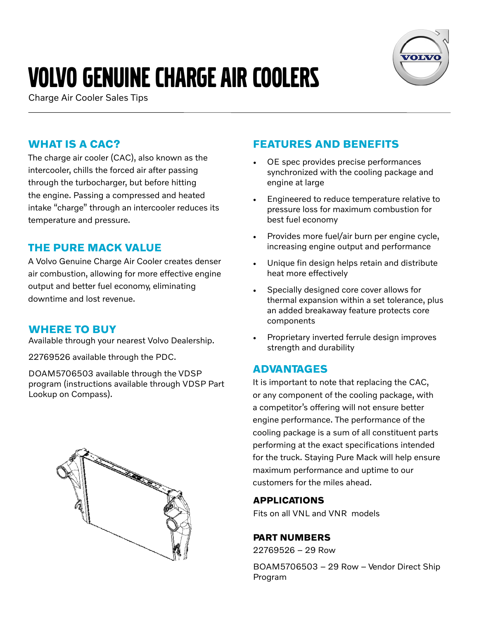# Volvo genuine charge air coolers





## **WHAT IS A CAC?**

The charge air cooler (CAC), also known as the intercooler, chills the forced air after passing through the turbocharger, but before hitting the engine. Passing a compressed and heated intake "charge" through an intercooler reduces its temperature and pressure.

### **THE PURE MACK VALUE**

A Volvo Genuine Charge Air Cooler creates denser air combustion, allowing for more effective engine output and better fuel economy, eliminating downtime and lost revenue.

#### **WHERE TO BUY**

Available through your nearest Volvo Dealership.

22769526 available through the PDC.

DOAM5706503 available through the VDSP program (instructions available through VDSP Part Lookup on Compass).



# **FEATURES AND BENEFITS**

- OE spec provides precise performances synchronized with the cooling package and engine at large
- Engineered to reduce temperature relative to pressure loss for maximum combustion for best fuel economy
- Provides more fuel/air burn per engine cycle, increasing engine output and performance
- Unique fin design helps retain and distribute heat more effectively
- Specially designed core cover allows for thermal expansion within a set tolerance, plus an added breakaway feature protects core components
- Proprietary inverted ferrule design improves strength and durability

#### **ADVANTAGES**

It is important to note that replacing the CAC, or any component of the cooling package, with a competitor's offering will not ensure better engine performance. The performance of the cooling package is a sum of all constituent parts performing at the exact specifications intended for the truck. Staying Pure Mack will help ensure maximum performance and uptime to our customers for the miles ahead.

#### **APPLICATIONS**

Fits on all VNL and VNR models

#### **PART NUMBERS**

22769526 – 29 Row

BOAM5706503 – 29 Row – Vendor Direct Ship Program